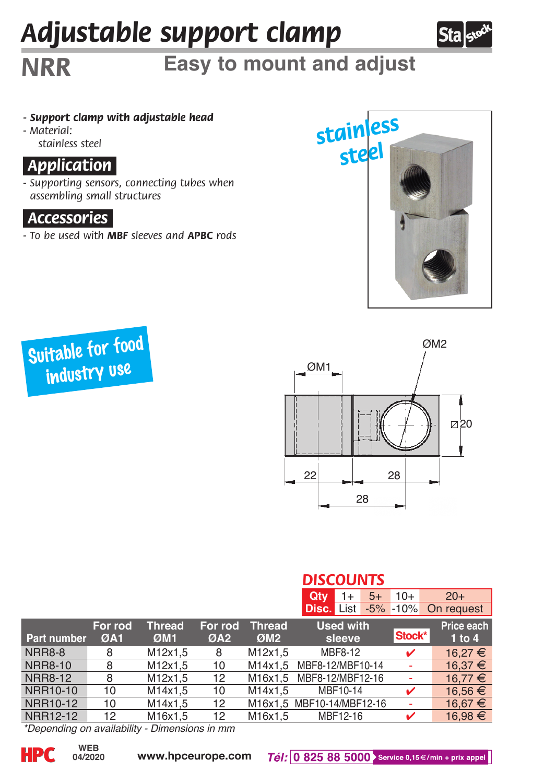# *Adjustable support clamp*



## *NRR* **Easy to mount and adjust**

- *Support clamp with adjustable head*
- *Material: stainless steel*

### *.Application.*

*- Supporting sensors, connecting tubes when assembling small structures* 

#### *.Accessories.*

*- To be used with MBF sleeves and APBC rods*







#### *DISCOUNTS*

|                |                |                      |                            |                            | Qtv<br>$5+$<br>1+          | $10+$  | $20+$                    |
|----------------|----------------|----------------------|----------------------------|----------------------------|----------------------------|--------|--------------------------|
|                |                |                      |                            |                            | <b>Disc.</b> List -5% -10% |        | On request               |
| Part number    | For rod<br>ØA1 | <b>Thread</b><br>ØM1 | For rod<br>ØA <sub>2</sub> | Thread.<br>ØM <sub>2</sub> | <b>Used with</b><br>sleeve | Stock* | Price each<br>$1$ to $4$ |
| <b>NRR8-8</b>  | 8              | M12x1.5              | 8                          | M12x1.5                    | MBF8-12                    | ✓      | 16.27 €                  |
| <b>NRR8-10</b> | 8              | M12x1.5              | 10                         |                            | M14x1.5 MBF8-12/MBF10-14   |        | 16.37 €                  |
| <b>NRR8-12</b> | 8              | M12x1.5              | 12                         |                            | M16x1.5 MBF8-12/MBF12-16   |        | $16.77 \in$              |
| NRR10-10       | 10             | M14x1.5              | 10                         | M14x1.5                    | MBF10-14                   | ✓      | $16.56 \in$              |
| NRR10-12       | 10             | M14x1.5              | 12                         |                            | M16x1.5 MBF10-14/MBF12-16  |        | $16.67 \in$              |
| NRR12-12       | 12             | M16x1.5              | 12                         | M16x1.5                    | MBF12-16                   | ✓      | $16.98 \in$              |

*\*Depending on availability - Dimensions in mm*

**04/2020**